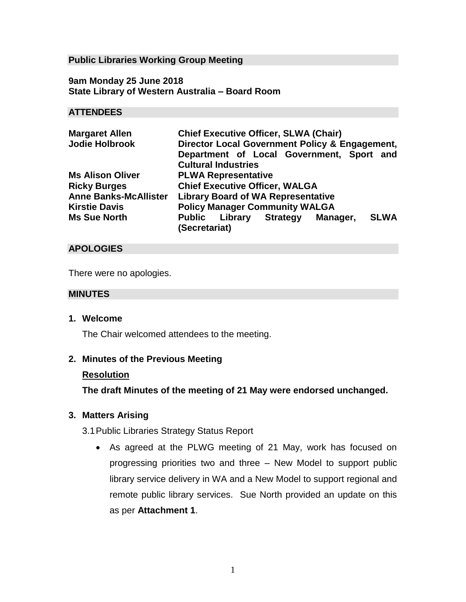### **Public Libraries Working Group Meeting**

**9am Monday 25 June 2018 State Library of Western Australia – Board Room**

#### **ATTENDEES**

| <b>Margaret Allen</b>        | <b>Chief Executive Officer, SLWA (Chair)</b>    |  |  |
|------------------------------|-------------------------------------------------|--|--|
| <b>Jodie Holbrook</b>        | Director Local Government Policy & Engagement,  |  |  |
|                              | Department of Local Government, Sport and       |  |  |
|                              | <b>Cultural Industries</b>                      |  |  |
| <b>Ms Alison Oliver</b>      | <b>PLWA Representative</b>                      |  |  |
| <b>Ricky Burges</b>          | <b>Chief Executive Officer, WALGA</b>           |  |  |
| <b>Anne Banks-McAllister</b> | <b>Library Board of WA Representative</b>       |  |  |
| <b>Kirstie Davis</b>         | <b>Policy Manager Community WALGA</b>           |  |  |
| <b>Ms Sue North</b>          | <b>SLWA</b><br>Public Library Strategy Manager, |  |  |
|                              | (Secretariat)                                   |  |  |

### **APOLOGIES**

There were no apologies.

#### **MINUTES**

**1. Welcome** 

The Chair welcomed attendees to the meeting.

#### **2. Minutes of the Previous Meeting**

#### **Resolution**

**The draft Minutes of the meeting of 21 May were endorsed unchanged.**

### **3. Matters Arising**

3.1Public Libraries Strategy Status Report

 As agreed at the PLWG meeting of 21 May, work has focused on progressing priorities two and three – New Model to support public library service delivery in WA and a New Model to support regional and remote public library services. Sue North provided an update on this as per **Attachment 1**.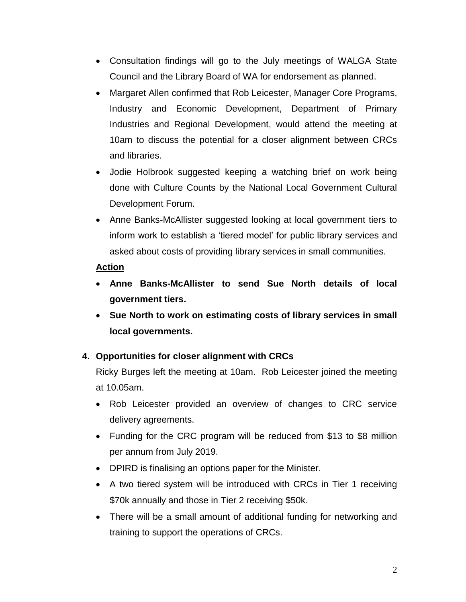- Consultation findings will go to the July meetings of WALGA State Council and the Library Board of WA for endorsement as planned.
- Margaret Allen confirmed that Rob Leicester, Manager Core Programs, Industry and Economic Development, Department of Primary Industries and Regional Development, would attend the meeting at 10am to discuss the potential for a closer alignment between CRCs and libraries.
- Jodie Holbrook suggested keeping a watching brief on work being done with Culture Counts by the National Local Government Cultural Development Forum.
- Anne Banks-McAllister suggested looking at local government tiers to inform work to establish a 'tiered model' for public library services and asked about costs of providing library services in small communities.

### **Action**

- **Anne Banks-McAllister to send Sue North details of local government tiers.**
- **Sue North to work on estimating costs of library services in small local governments.**

### **4. Opportunities for closer alignment with CRCs**

Ricky Burges left the meeting at 10am. Rob Leicester joined the meeting at 10.05am.

- Rob Leicester provided an overview of changes to CRC service delivery agreements.
- Funding for the CRC program will be reduced from \$13 to \$8 million per annum from July 2019.
- DPIRD is finalising an options paper for the Minister.
- A two tiered system will be introduced with CRCs in Tier 1 receiving \$70k annually and those in Tier 2 receiving \$50k.
- There will be a small amount of additional funding for networking and training to support the operations of CRCs.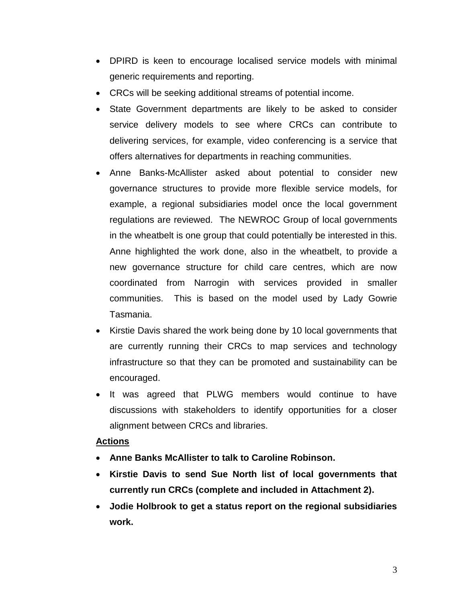- DPIRD is keen to encourage localised service models with minimal generic requirements and reporting.
- CRCs will be seeking additional streams of potential income.
- State Government departments are likely to be asked to consider service delivery models to see where CRCs can contribute to delivering services, for example, video conferencing is a service that offers alternatives for departments in reaching communities.
- Anne Banks-McAllister asked about potential to consider new governance structures to provide more flexible service models, for example, a regional subsidiaries model once the local government regulations are reviewed. The NEWROC Group of local governments in the wheatbelt is one group that could potentially be interested in this. Anne highlighted the work done, also in the wheatbelt, to provide a new governance structure for child care centres, which are now coordinated from Narrogin with services provided in smaller communities. This is based on the model used by Lady Gowrie Tasmania.
- Kirstie Davis shared the work being done by 10 local governments that are currently running their CRCs to map services and technology infrastructure so that they can be promoted and sustainability can be encouraged.
- It was agreed that PLWG members would continue to have discussions with stakeholders to identify opportunities for a closer alignment between CRCs and libraries.

### **Actions**

- **Anne Banks McAllister to talk to Caroline Robinson.**
- **Kirstie Davis to send Sue North list of local governments that currently run CRCs (complete and included in Attachment 2).**
- **Jodie Holbrook to get a status report on the regional subsidiaries work.**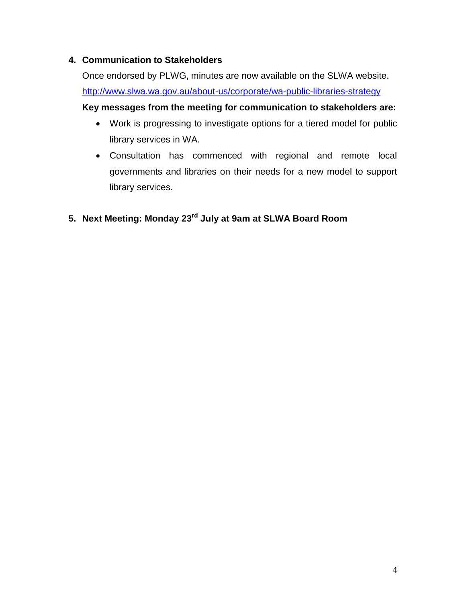## **4. Communication to Stakeholders**

Once endorsed by PLWG, minutes are now available on the SLWA website. <http://www.slwa.wa.gov.au/about-us/corporate/wa-public-libraries-strategy> **Key messages from the meeting for communication to stakeholders are:**

- Work is progressing to investigate options for a tiered model for public library services in WA.
- Consultation has commenced with regional and remote local governments and libraries on their needs for a new model to support library services.
- **5. Next Meeting: Monday 23 rd July at 9am at SLWA Board Room**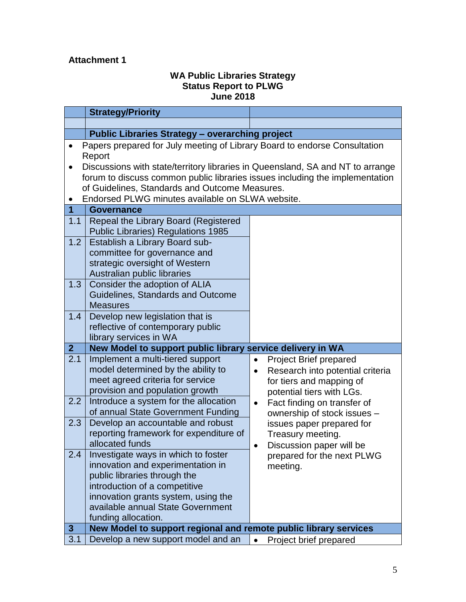# **Attachment 1**

### **WA Public Libraries Strategy Status Report to PLWG June 2018**

|                | <b>Strategy/Priority</b>                                                       |                                                |  |  |  |
|----------------|--------------------------------------------------------------------------------|------------------------------------------------|--|--|--|
|                |                                                                                |                                                |  |  |  |
|                | <b>Public Libraries Strategy - overarching project</b>                         |                                                |  |  |  |
|                | Papers prepared for July meeting of Library Board to endorse Consultation      |                                                |  |  |  |
|                | Report                                                                         |                                                |  |  |  |
|                | Discussions with state/territory libraries in Queensland, SA and NT to arrange |                                                |  |  |  |
|                | forum to discuss common public libraries issues including the implementation   |                                                |  |  |  |
|                | of Guidelines, Standards and Outcome Measures.                                 |                                                |  |  |  |
|                | Endorsed PLWG minutes available on SLWA website.                               |                                                |  |  |  |
| $\overline{1}$ | <b>Governance</b>                                                              |                                                |  |  |  |
| 1.1            | Repeal the Library Board (Registered                                           |                                                |  |  |  |
|                | <b>Public Libraries) Regulations 1985</b>                                      |                                                |  |  |  |
| 1.2            | Establish a Library Board sub-                                                 |                                                |  |  |  |
|                | committee for governance and                                                   |                                                |  |  |  |
|                | strategic oversight of Western                                                 |                                                |  |  |  |
|                | Australian public libraries                                                    |                                                |  |  |  |
| 1.3            | Consider the adoption of ALIA                                                  |                                                |  |  |  |
|                | Guidelines, Standards and Outcome                                              |                                                |  |  |  |
|                | <b>Measures</b>                                                                |                                                |  |  |  |
| 1.4            | Develop new legislation that is                                                |                                                |  |  |  |
|                | reflective of contemporary public                                              |                                                |  |  |  |
|                | library services in WA                                                         |                                                |  |  |  |
| $\overline{2}$ | New Model to support public library service delivery in WA                     |                                                |  |  |  |
| 2.1            | Implement a multi-tiered support                                               | <b>Project Brief prepared</b><br>$\bullet$     |  |  |  |
|                | model determined by the ability to<br>meet agreed criteria for service         | Research into potential criteria<br>$\bullet$  |  |  |  |
|                | provision and population growth                                                | for tiers and mapping of                       |  |  |  |
| 2.2            | Introduce a system for the allocation                                          | potential tiers with LGs.                      |  |  |  |
|                | of annual State Government Funding                                             | Fact finding on transfer of<br>$\bullet$       |  |  |  |
| 2.3            | Develop an accountable and robust                                              | ownership of stock issues -                    |  |  |  |
|                | reporting framework for expenditure of                                         | issues paper prepared for<br>Treasury meeting. |  |  |  |
|                | allocated funds                                                                | Discussion paper will be                       |  |  |  |
| 2.4            | Investigate ways in which to foster                                            | prepared for the next PLWG                     |  |  |  |
|                | innovation and experimentation in                                              | meeting.                                       |  |  |  |
|                | public libraries through the                                                   |                                                |  |  |  |
|                | introduction of a competitive                                                  |                                                |  |  |  |
|                | innovation grants system, using the                                            |                                                |  |  |  |
|                | available annual State Government                                              |                                                |  |  |  |
|                | funding allocation.                                                            |                                                |  |  |  |
| $3\phantom{a}$ | New Model to support regional and remote public library services               |                                                |  |  |  |
| 3.1            | Develop a new support model and an                                             | $\bullet$<br>Project brief prepared            |  |  |  |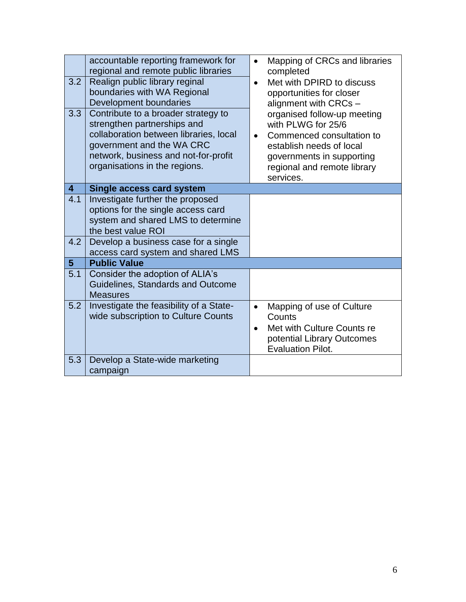| 3.2<br>3.3              | accountable reporting framework for<br>regional and remote public libraries<br>Realign public library reginal<br>boundaries with WA Regional<br>Development boundaries<br>Contribute to a broader strategy to<br>strengthen partnerships and<br>collaboration between libraries, local<br>government and the WA CRC<br>network, business and not-for-profit<br>organisations in the regions. | Mapping of CRCs and libraries<br>$\bullet$<br>completed<br>Met with DPIRD to discuss<br>$\bullet$<br>opportunities for closer<br>alignment with CRCs -<br>organised follow-up meeting<br>with PLWG for 25/6<br>Commenced consultation to<br>$\bullet$<br>establish needs of local<br>governments in supporting<br>regional and remote library<br>services. |
|-------------------------|----------------------------------------------------------------------------------------------------------------------------------------------------------------------------------------------------------------------------------------------------------------------------------------------------------------------------------------------------------------------------------------------|------------------------------------------------------------------------------------------------------------------------------------------------------------------------------------------------------------------------------------------------------------------------------------------------------------------------------------------------------------|
| $\overline{\mathbf{4}}$ | <b>Single access card system</b>                                                                                                                                                                                                                                                                                                                                                             |                                                                                                                                                                                                                                                                                                                                                            |
| 4.1                     | Investigate further the proposed<br>options for the single access card<br>system and shared LMS to determine<br>the best value ROI                                                                                                                                                                                                                                                           |                                                                                                                                                                                                                                                                                                                                                            |
| 4.2                     | Develop a business case for a single<br>access card system and shared LMS                                                                                                                                                                                                                                                                                                                    |                                                                                                                                                                                                                                                                                                                                                            |
| 5 <sup>5</sup>          | <b>Public Value</b>                                                                                                                                                                                                                                                                                                                                                                          |                                                                                                                                                                                                                                                                                                                                                            |
| 5.1                     | Consider the adoption of ALIA's<br>Guidelines, Standards and Outcome<br><b>Measures</b>                                                                                                                                                                                                                                                                                                      |                                                                                                                                                                                                                                                                                                                                                            |
| 5.2                     | Investigate the feasibility of a State-<br>wide subscription to Culture Counts                                                                                                                                                                                                                                                                                                               | Mapping of use of Culture<br>$\bullet$<br>Counts<br>Met with Culture Counts re<br>$\bullet$<br>potential Library Outcomes<br><b>Evaluation Pilot.</b>                                                                                                                                                                                                      |
| 5.3                     | Develop a State-wide marketing<br>campaign                                                                                                                                                                                                                                                                                                                                                   |                                                                                                                                                                                                                                                                                                                                                            |